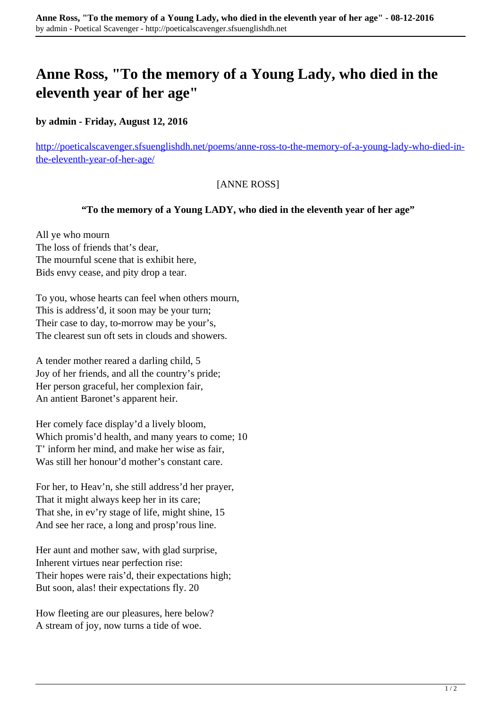# **Anne Ross, "To the memory of a Young Lady, who died in the eleventh year of her age"**

### **by admin - Friday, August 12, 2016**

[http://poeticalscavenger.sfsuenglishdh.net/poems/anne-ross-to-the-memory-of-a-young-lady-who-died-in](http://poeticalscavenger.sfsuenglishdh.net/poems/anne-ross-to-the-memory-of-a-young-lady-who-died-in-the-eleventh-year-of-her-age/)[the-eleventh-year-of-her-age/](http://poeticalscavenger.sfsuenglishdh.net/poems/anne-ross-to-the-memory-of-a-young-lady-who-died-in-the-eleventh-year-of-her-age/)

#### [ANNE ROSS]

#### **"To the memory of a Young LADY, who died in the eleventh year of her age"**

All ye who mourn The loss of friends that's dear, The mournful scene that is exhibit here, Bids envy cease, and pity drop a tear.

To you, whose hearts can feel when others mourn, This is address'd, it soon may be your turn; Their case to day, to-morrow may be your's, The clearest sun oft sets in clouds and showers.

A tender mother reared a darling child, 5 Joy of her friends, and all the country's pride; Her person graceful, her complexion fair, An antient Baronet's apparent heir.

Her comely face display'd a lively bloom, Which promis'd health, and many years to come; 10 T' inform her mind, and make her wise as fair, Was still her honour'd mother's constant care.

For her, to Heav'n, she still address'd her prayer, That it might always keep her in its care; That she, in ev'ry stage of life, might shine, 15 And see her race, a long and prosp'rous line.

Her aunt and mother saw, with glad surprise, Inherent virtues near perfection rise: Their hopes were rais'd, their expectations high; But soon, alas! their expectations fly. 20

How fleeting are our pleasures, here below? A stream of joy, now turns a tide of woe.